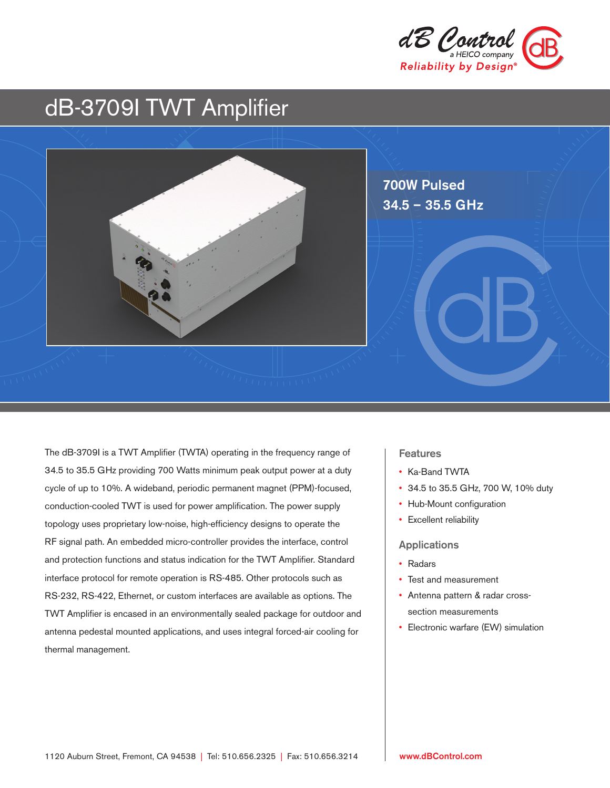

# dB-3709I TWT Amplifier



The dB-3709I is a TWT Amplifier (TWTA) operating in the frequency range of 34.5 to 35.5 GHz providing 700 Watts minimum peak output power at a duty cycle of up to 10%. A wideband, periodic permanent magnet (PPM)-focused, conduction-cooled TWT is used for power amplification. The power supply topology uses proprietary low-noise, high-efficiency designs to operate the RF signal path. An embedded micro-controller provides the interface, control and protection functions and status indication for the TWT Amplifier. Standard interface protocol for remote operation is RS-485. Other protocols such as RS-232, RS-422, Ethernet, or custom interfaces are available as options. The TWT Amplifier is encased in an environmentally sealed package for outdoor and antenna pedestal mounted applications, and uses integral forced-air cooling for thermal management.

#### **Features**

- Ka-Band TWTA
- 34.5 to 35.5 GHz, 700 W, 10% duty
- Hub-Mount configuration
- Excellent reliability

#### Applications

- Radars
- Test and measurement
- Antenna pattern & radar crosssection measurements
- Electronic warfare (EW) simulation